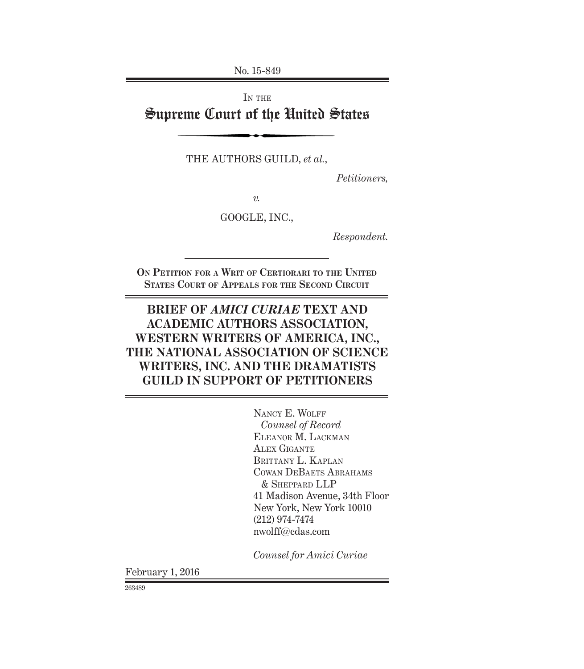No. 15-849

IN THE

Supreme Court of the United States

THE AUTHORS GUILD, *et al.*,

*Petitioners,*

*v.*

GOOGLE, INC.,

*Respondent.*

**ON PETITION FOR A WRIT OF CERTIORARI TO THE UNITED STATES COURT OF APPEALS FOR THE SECOND CIRCUIT**

# **BRIEF OF** *AMICI CURIAE* **TEXT AND ACADEMIC AUTHORS ASSOCIATION, WESTERN WRITERS OF AMERICA, INC., THE NATIONAL ASSOCIATION OF SCIENCE WRITERS, INC. AND THE DRAMATISTS GUILD IN SUPPORT OF PETITIONERS**

NANCY E. WOLFF *Counsel of Record* ELEANOR M. LACKMAN ALEX GIGANTE BRITTANY L. KAPLAN COWAN DEBAETS ABRAHAMS & SHEPPARD LLP 41 Madison Avenue, 34th Floor New York, New York 10010 (212) 974-7474 nwolff@cdas.com

*Counsel for Amici Curiae*

February 1, 2016

263489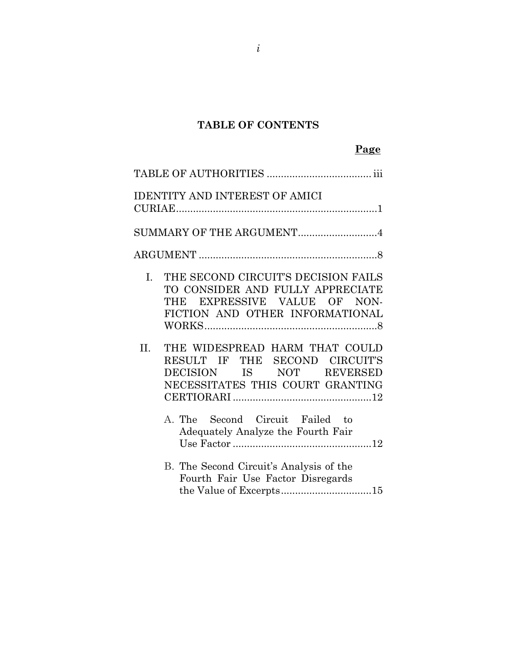## **TABLE OF CONTENTS**

| <b>IDENTITY AND INTEREST OF AMICI</b>                                                                                                            |
|--------------------------------------------------------------------------------------------------------------------------------------------------|
|                                                                                                                                                  |
| SUMMARY OF THE ARGUMENT4                                                                                                                         |
|                                                                                                                                                  |
| THE SECOND CIRCUIT'S DECISION FAILS<br>L.<br>TO CONSIDER AND FULLY APPRECIATE<br>THE EXPRESSIVE VALUE OF NON-<br>FICTION AND OTHER INFORMATIONAL |
| THE WIDESPREAD HARM THAT COULD<br>II.<br>RESULT IF THE SECOND CIRCUIT'S<br>DECISION IS NOT REVERSED<br>NECESSITATES THIS COURT GRANTING          |
| A. The Second Circuit Failed to<br>Adequately Analyze the Fourth Fair                                                                            |
| B. The Second Circuit's Analysis of the<br>Fourth Fair Use Factor Disregards<br>the Value of Excerpts15                                          |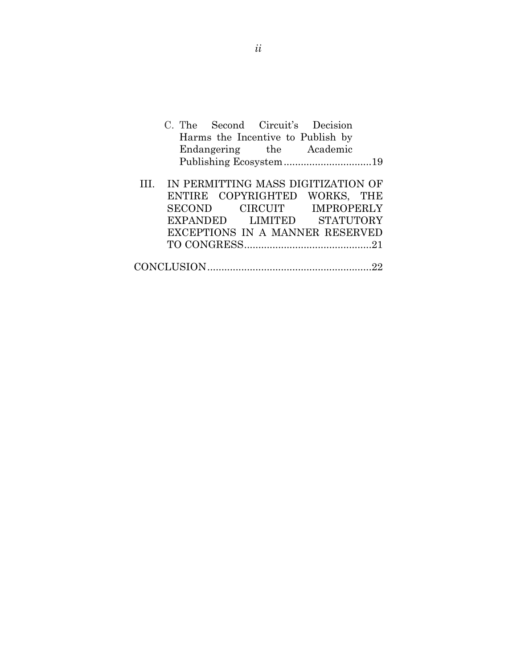|                        |  |  | C. The Second Circuit's Decision        |  |
|------------------------|--|--|-----------------------------------------|--|
|                        |  |  | Harms the Incentive to Publish by       |  |
|                        |  |  | Endangering the Academic                |  |
| Publishing Ecosystem19 |  |  |                                         |  |
|                        |  |  |                                         |  |
|                        |  |  | III. IN PERMITTING MASS DIGITIZATION OF |  |
|                        |  |  | ENTIRE COPYRIGHTED WORKS, THE           |  |
|                        |  |  | SECOND CIRCUIT IMPROPERLY               |  |
|                        |  |  | EXPANDED LIMITED STATUTORY              |  |
|                        |  |  | EXCEPTIONS IN A MANNER RESERVED         |  |
|                        |  |  |                                         |  |
|                        |  |  |                                         |  |
|                        |  |  |                                         |  |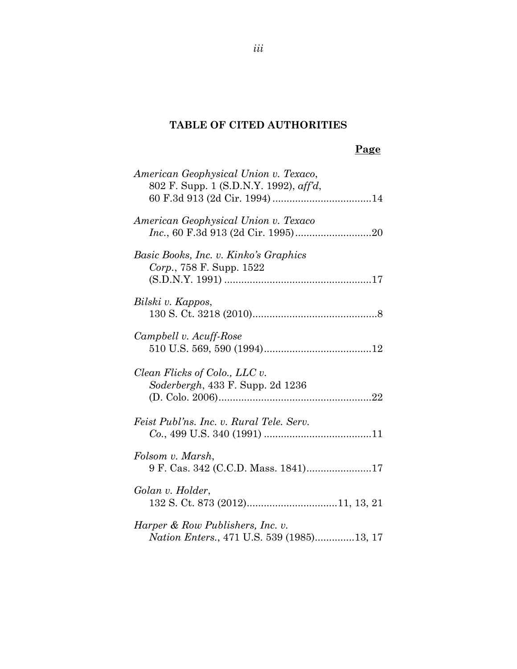## **TABLE OF CITED AUTHORITIES**

### **Page**

| American Geophysical Union v. Texaco,<br>802 F. Supp. 1 (S.D.N.Y. 1992), aff'd,       |
|---------------------------------------------------------------------------------------|
| American Geophysical Union v. Texaco                                                  |
| Basic Books, Inc. v. Kinko's Graphics<br>Corp., 758 F. Supp. 1522                     |
| Bilski v. Kappos,                                                                     |
| Campbell v. Acuff-Rose                                                                |
| Clean Flicks of Colo., LLC v.<br><i>Soderbergh</i> , 433 F. Supp. 2d 1236             |
| Feist Publ'ns. Inc. v. Rural Tele. Serv.                                              |
| Folsom v. Marsh,<br>9 F. Cas. 342 (C.C.D. Mass. 1841)17                               |
| Golan v. Holder,                                                                      |
| Harper & Row Publishers, Inc. v.<br><i>Nation Enters.</i> , 471 U.S. 539 (1985)13, 17 |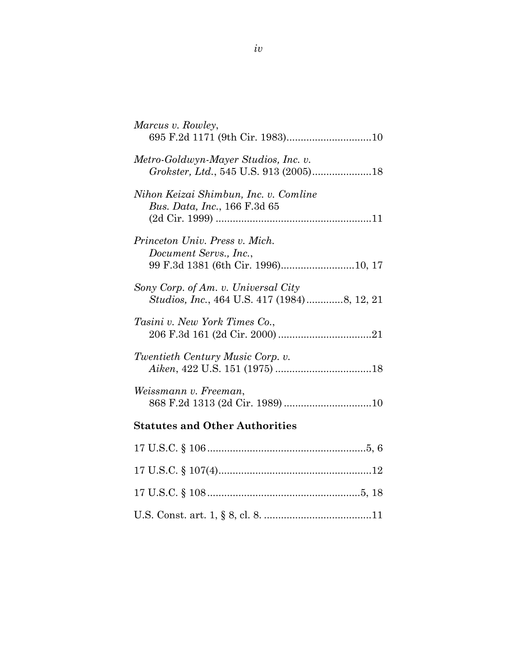| Marcus v. Rowley,<br>695 F.2d 1171 (9th Cir. 1983)10                               |
|------------------------------------------------------------------------------------|
| Metro-Goldwyn-Mayer Studios, Inc. v.<br>Grokster, Ltd., 545 U.S. 913 (2005)18      |
| Nihon Keizai Shimbun, Inc. v. Comline<br><i>Bus. Data, Inc., 166 F.3d 65</i>       |
| Princeton Univ. Press v. Mich.<br>Document Servs., Inc.,                           |
| 99 F.3d 1381 (6th Cir. 1996)10, 17                                                 |
| Sony Corp. of Am. v. Universal City<br>Studios, Inc., 464 U.S. 417 (1984)8, 12, 21 |
| Tasini v. New York Times Co.,                                                      |
| Twentieth Century Music Corp. v.                                                   |
| Weissmann v. Freeman,                                                              |
| <b>Statutes and Other Authorities</b>                                              |
|                                                                                    |
|                                                                                    |
|                                                                                    |
|                                                                                    |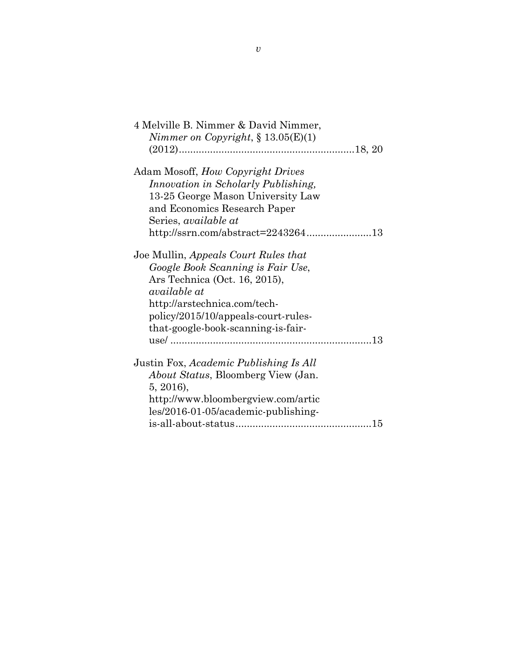| 4 Melville B. Nimmer & David Nimmer,       |  |
|--------------------------------------------|--|
| Nimmer on Copyright, $\S 13.05(E)(1)$      |  |
|                                            |  |
|                                            |  |
| Adam Mosoff, How Copyright Drives          |  |
| Innovation in Scholarly Publishing,        |  |
| 13-25 George Mason University Law          |  |
| and Economics Research Paper               |  |
| Series, <i>available at</i>                |  |
|                                            |  |
| http://ssrn.com/abstract=224326413         |  |
|                                            |  |
| Joe Mullin, Appeals Court Rules that       |  |
| Google Book Scanning is Fair Use,          |  |
| Ars Technica (Oct. 16, 2015),              |  |
| available at                               |  |
| http://arstechnica.com/tech-               |  |
| policy/2015/10/appeals-court-rules-        |  |
| that-google-book-scanning-is-fair-         |  |
|                                            |  |
|                                            |  |
|                                            |  |
| Justin Fox, Academic Publishing Is All     |  |
| <i>About Status</i> , Bloomberg View (Jan. |  |
| 5, 2016),                                  |  |
| http://www.bloombergview.com/artic         |  |
| les/2016-01-05/academic-publishing-        |  |
|                                            |  |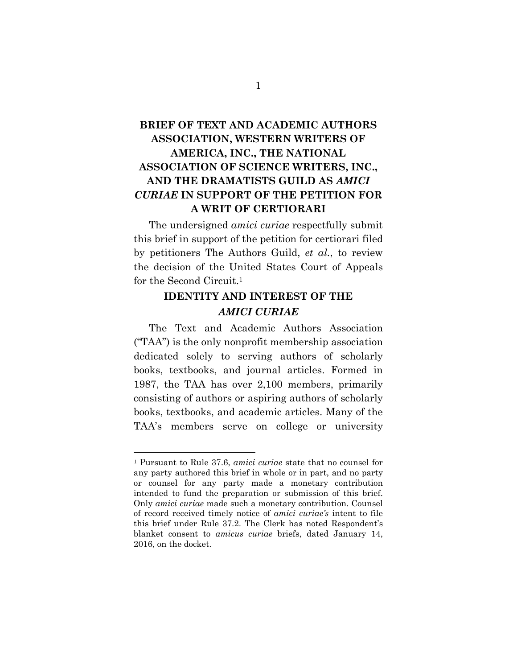# **BRIEF OF TEXT AND ACADEMIC AUTHORS ASSOCIATION, WESTERN WRITERS OF AMERICA, INC., THE NATIONAL ASSOCIATION OF SCIENCE WRITERS, INC., AND THE DRAMATISTS GUILD AS** *AMICI CURIAE* **IN SUPPORT OF THE PETITION FOR A WRIT OF CERTIORARI**

The undersigned *amici curiae* respectfully submit this brief in support of the petition for certiorari filed by petitioners The Authors Guild, *et al.*, to review the decision of the United States Court of Appeals for the Second Circuit.1

### **IDENTITY AND INTEREST OF THE**  *AMICI CURIAE*

The Text and Academic Authors Association ("TAA") is the only nonprofit membership association dedicated solely to serving authors of scholarly books, textbooks, and journal articles. Formed in 1987, the TAA has over 2,100 members, primarily consisting of authors or aspiring authors of scholarly books, textbooks, and academic articles. Many of the TAA's members serve on college or university

<sup>1</sup> Pursuant to Rule 37.6, *amici curiae* state that no counsel for any party authored this brief in whole or in part, and no party or counsel for any party made a monetary contribution intended to fund the preparation or submission of this brief. Only *amici curiae* made such a monetary contribution. Counsel of record received timely notice of *amici curiae's* intent to file this brief under Rule 37.2. The Clerk has noted Respondent's blanket consent to *amicus curiae* briefs, dated January 14, 2016, on the docket.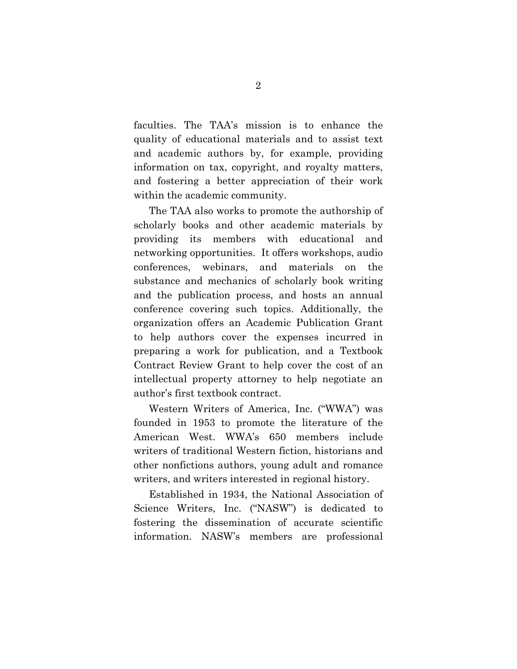faculties. The TAA's mission is to enhance the quality of educational materials and to assist text and academic authors by, for example, providing information on tax, copyright, and royalty matters, and fostering a better appreciation of their work within the academic community.

The TAA also works to promote the authorship of scholarly books and other academic materials by providing its members with educational and networking opportunities. It offers workshops, audio conferences, webinars, and materials on the substance and mechanics of scholarly book writing and the publication process, and hosts an annual conference covering such topics. Additionally, the organization offers an Academic Publication Grant to help authors cover the expenses incurred in preparing a work for publication, and a Textbook Contract Review Grant to help cover the cost of an intellectual property attorney to help negotiate an author's first textbook contract.

Western Writers of America, Inc. ("WWA") was founded in 1953 to promote the literature of the American West. WWA's 650 members include writers of traditional Western fiction, historians and other nonfictions authors, young adult and romance writers, and writers interested in regional history.

Established in 1934, the National Association of Science Writers, Inc. ("NASW") is dedicated to fostering the dissemination of accurate scientific information. NASW's members are professional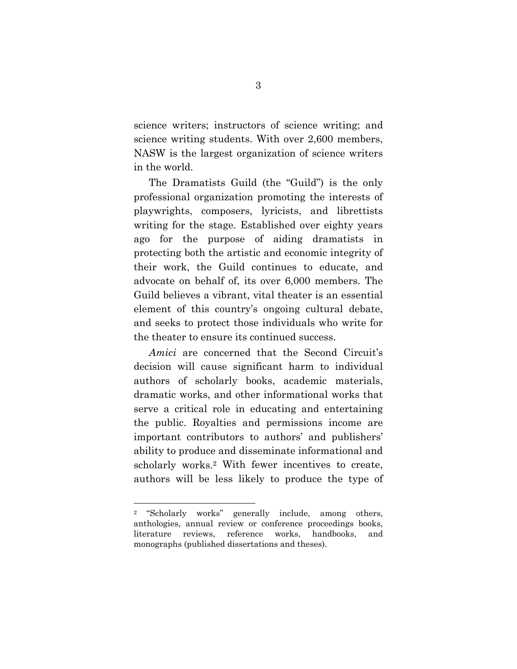science writers; instructors of science writing; and science writing students. With over 2,600 members, NASW is the largest organization of science writers in the world.

The Dramatists Guild (the "Guild") is the only professional organization promoting the interests of playwrights, composers, lyricists, and librettists writing for the stage. Established over eighty years ago for the purpose of aiding dramatists in protecting both the artistic and economic integrity of their work, the Guild continues to educate, and advocate on behalf of, its over 6,000 members. The Guild believes a vibrant, vital theater is an essential element of this country's ongoing cultural debate, and seeks to protect those individuals who write for the theater to ensure its continued success.

*Amici* are concerned that the Second Circuit's decision will cause significant harm to individual authors of scholarly books, academic materials, dramatic works, and other informational works that serve a critical role in educating and entertaining the public. Royalties and permissions income are important contributors to authors' and publishers' ability to produce and disseminate informational and scholarly works.2 With fewer incentives to create, authors will be less likely to produce the type of

<sup>2 &</sup>quot;Scholarly works" generally include, among others, anthologies, annual review or conference proceedings books, literature reviews, reference works, handbooks, and monographs (published dissertations and theses).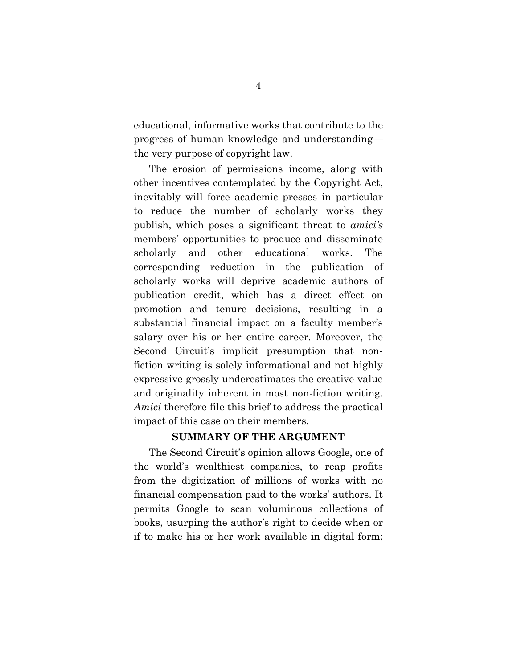educational, informative works that contribute to the progress of human knowledge and understanding the very purpose of copyright law.

The erosion of permissions income, along with other incentives contemplated by the Copyright Act, inevitably will force academic presses in particular to reduce the number of scholarly works they publish, which poses a significant threat to *amici's*  members' opportunities to produce and disseminate scholarly and other educational works. The corresponding reduction in the publication of scholarly works will deprive academic authors of publication credit, which has a direct effect on promotion and tenure decisions, resulting in a substantial financial impact on a faculty member's salary over his or her entire career. Moreover, the Second Circuit's implicit presumption that nonfiction writing is solely informational and not highly expressive grossly underestimates the creative value and originality inherent in most non-fiction writing. *Amici* therefore file this brief to address the practical impact of this case on their members.

### **SUMMARY OF THE ARGUMENT**

The Second Circuit's opinion allows Google, one of the world's wealthiest companies, to reap profits from the digitization of millions of works with no financial compensation paid to the works' authors. It permits Google to scan voluminous collections of books, usurping the author's right to decide when or if to make his or her work available in digital form;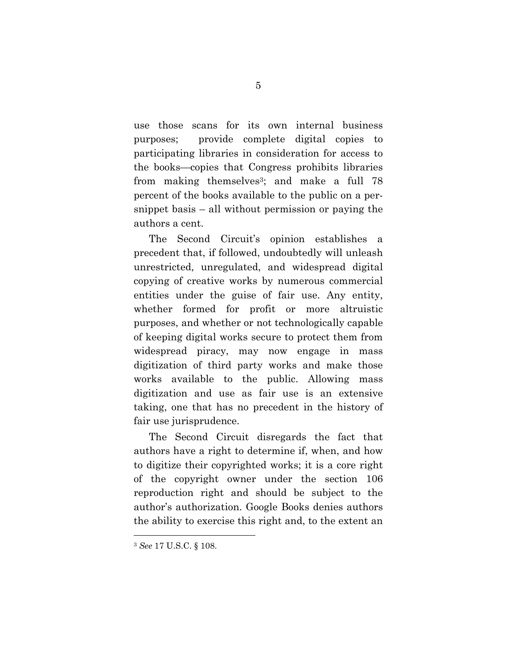use those scans for its own internal business purposes; provide complete digital copies to participating libraries in consideration for access to the books—copies that Congress prohibits libraries from making themselves<sup>3</sup>; and make a full  $78$ percent of the books available to the public on a persnippet basis – all without permission or paying the authors a cent.

The Second Circuit's opinion establishes a precedent that, if followed, undoubtedly will unleash unrestricted, unregulated, and widespread digital copying of creative works by numerous commercial entities under the guise of fair use. Any entity, whether formed for profit or more altruistic purposes, and whether or not technologically capable of keeping digital works secure to protect them from widespread piracy, may now engage in mass digitization of third party works and make those works available to the public. Allowing mass digitization and use as fair use is an extensive taking, one that has no precedent in the history of fair use jurisprudence.

The Second Circuit disregards the fact that authors have a right to determine if, when, and how to digitize their copyrighted works; it is a core right of the copyright owner under the section 106 reproduction right and should be subject to the author's authorization. Google Books denies authors the ability to exercise this right and, to the extent an

<sup>3</sup> *See* 17 U.S.C. § 108.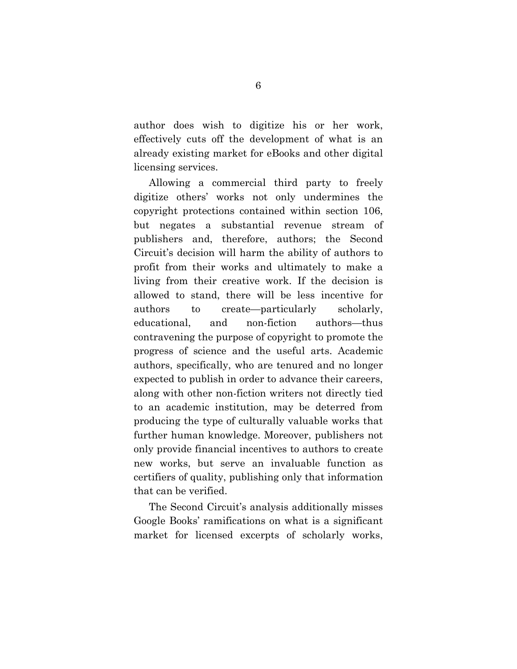author does wish to digitize his or her work, effectively cuts off the development of what is an already existing market for eBooks and other digital licensing services.

Allowing a commercial third party to freely digitize others' works not only undermines the copyright protections contained within section 106, but negates a substantial revenue stream of publishers and, therefore, authors; the Second Circuit's decision will harm the ability of authors to profit from their works and ultimately to make a living from their creative work. If the decision is allowed to stand, there will be less incentive for authors to create—particularly scholarly, educational, and non-fiction authors—thus contravening the purpose of copyright to promote the progress of science and the useful arts. Academic authors, specifically, who are tenured and no longer expected to publish in order to advance their careers, along with other non-fiction writers not directly tied to an academic institution, may be deterred from producing the type of culturally valuable works that further human knowledge. Moreover, publishers not only provide financial incentives to authors to create new works, but serve an invaluable function as certifiers of quality, publishing only that information that can be verified.

The Second Circuit's analysis additionally misses Google Books' ramifications on what is a significant market for licensed excerpts of scholarly works,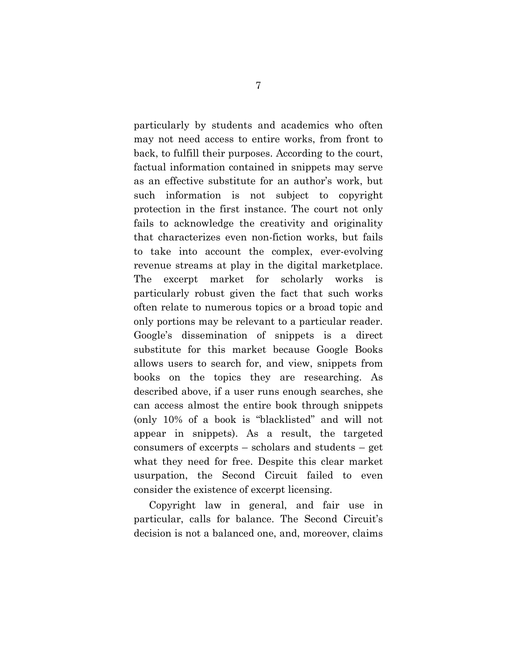particularly by students and academics who often may not need access to entire works, from front to back, to fulfill their purposes. According to the court, factual information contained in snippets may serve as an effective substitute for an author's work, but such information is not subject to copyright protection in the first instance. The court not only fails to acknowledge the creativity and originality that characterizes even non-fiction works, but fails to take into account the complex, ever-evolving revenue streams at play in the digital marketplace. The excerpt market for scholarly works is particularly robust given the fact that such works often relate to numerous topics or a broad topic and only portions may be relevant to a particular reader. Google's dissemination of snippets is a direct substitute for this market because Google Books allows users to search for, and view, snippets from books on the topics they are researching. As described above, if a user runs enough searches, she can access almost the entire book through snippets (only 10% of a book is "blacklisted" and will not appear in snippets). As a result, the targeted consumers of excerpts – scholars and students – get what they need for free. Despite this clear market usurpation, the Second Circuit failed to even consider the existence of excerpt licensing.

Copyright law in general, and fair use in particular, calls for balance. The Second Circuit's decision is not a balanced one, and, moreover, claims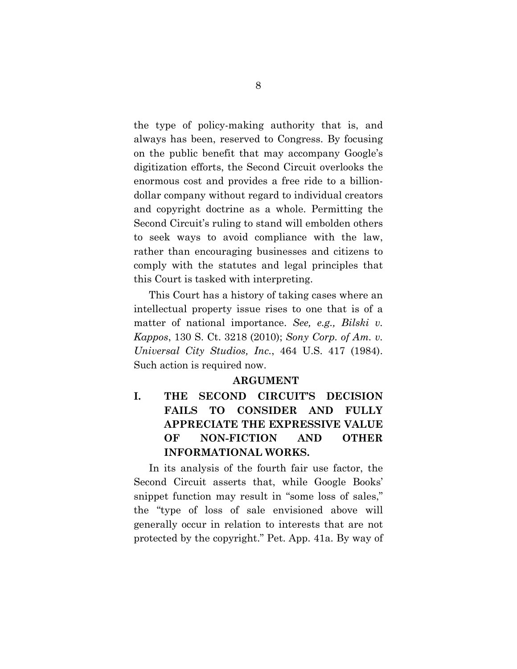the type of policy-making authority that is, and always has been, reserved to Congress. By focusing on the public benefit that may accompany Google's digitization efforts, the Second Circuit overlooks the enormous cost and provides a free ride to a billiondollar company without regard to individual creators and copyright doctrine as a whole. Permitting the Second Circuit's ruling to stand will embolden others to seek ways to avoid compliance with the law, rather than encouraging businesses and citizens to comply with the statutes and legal principles that this Court is tasked with interpreting.

This Court has a history of taking cases where an intellectual property issue rises to one that is of a matter of national importance. *See, e.g., Bilski v. Kappos*, 130 S. Ct. 3218 (2010); *Sony Corp. of Am. v. Universal City Studios, Inc.*, 464 U.S. 417 (1984). Such action is required now.

#### **ARGUMENT**

**I. THE SECOND CIRCUIT'S DECISION FAILS TO CONSIDER AND FULLY APPRECIATE THE EXPRESSIVE VALUE OF NON-FICTION AND OTHER INFORMATIONAL WORKS.** 

In its analysis of the fourth fair use factor, the Second Circuit asserts that, while Google Books' snippet function may result in "some loss of sales," the "type of loss of sale envisioned above will generally occur in relation to interests that are not protected by the copyright." Pet. App. 41a. By way of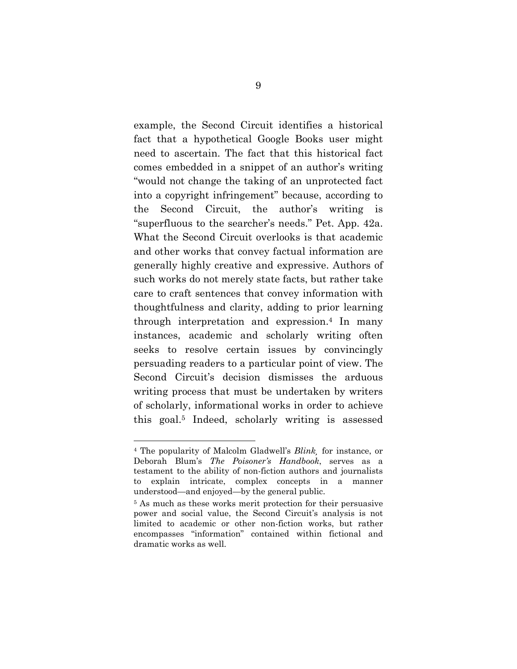example, the Second Circuit identifies a historical fact that a hypothetical Google Books user might need to ascertain. The fact that this historical fact comes embedded in a snippet of an author's writing "would not change the taking of an unprotected fact into a copyright infringement" because, according to the Second Circuit, the author's writing is "superfluous to the searcher's needs." Pet. App. 42a. What the Second Circuit overlooks is that academic and other works that convey factual information are generally highly creative and expressive. Authors of such works do not merely state facts, but rather take care to craft sentences that convey information with thoughtfulness and clarity, adding to prior learning through interpretation and expression.4 In many instances, academic and scholarly writing often seeks to resolve certain issues by convincingly persuading readers to a particular point of view. The Second Circuit's decision dismisses the arduous writing process that must be undertaken by writers of scholarly, informational works in order to achieve this goal.5 Indeed, scholarly writing is assessed

<sup>4</sup> The popularity of Malcolm Gladwell's *Blink¸* for instance, or Deborah Blum's *The Poisoner's Handbook*, serves as a testament to the ability of non-fiction authors and journalists explain intricate, complex concepts in a manner understood—and enjoyed—by the general public.

<sup>5</sup> As much as these works merit protection for their persuasive power and social value, the Second Circuit's analysis is not limited to academic or other non-fiction works, but rather encompasses "information" contained within fictional and dramatic works as well.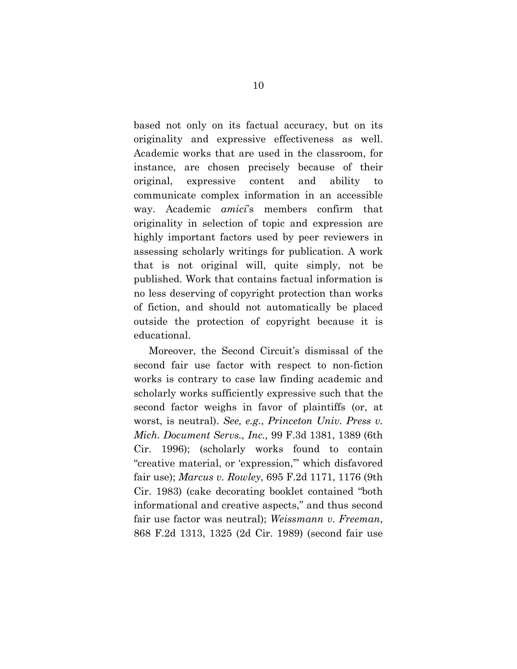based not only on its factual accuracy, but on its originality and expressive effectiveness as well. Academic works that are used in the classroom, for instance, are chosen precisely because of their original, expressive content and ability to communicate complex information in an accessible way. Academic *amici*'s members confirm that originality in selection of topic and expression are highly important factors used by peer reviewers in assessing scholarly writings for publication. A work that is not original will, quite simply, not be published. Work that contains factual information is no less deserving of copyright protection than works of fiction, and should not automatically be placed outside the protection of copyright because it is educational.

Moreover, the Second Circuit's dismissal of the second fair use factor with respect to non-fiction works is contrary to case law finding academic and scholarly works sufficiently expressive such that the second factor weighs in favor of plaintiffs (or, at worst, is neutral). *See, e.g.*, *Princeton Univ. Press v. Mich. Document Servs., Inc.,* 99 F.3d 1381, 1389 (6th Cir. 1996); (scholarly works found to contain "creative material, or 'expression,'" which disfavored fair use); *Marcus v. Rowley*, 695 F.2d 1171, 1176 (9th Cir. 1983) (cake decorating booklet contained "both informational and creative aspects," and thus second fair use factor was neutral); *Weissmann v. Freeman*, 868 F.2d 1313, 1325 (2d Cir. 1989) (second fair use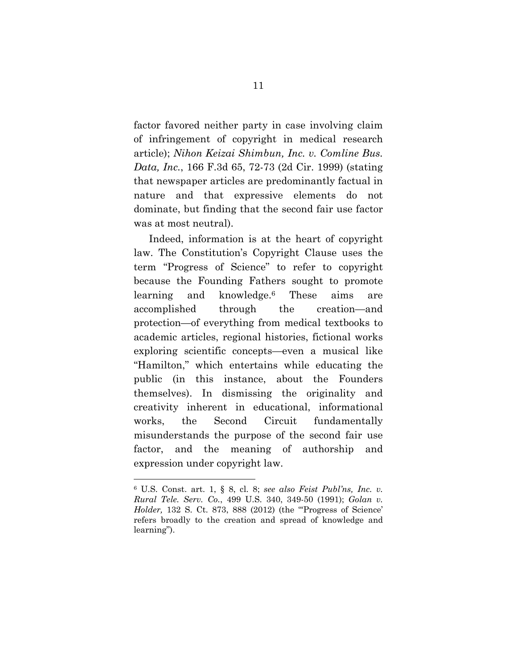factor favored neither party in case involving claim of infringement of copyright in medical research article); *Nihon Keizai Shimbun, Inc. v. Comline Bus. Data, Inc.*, 166 F.3d 65, 72-73 (2d Cir. 1999) (stating that newspaper articles are predominantly factual in nature and that expressive elements do not dominate, but finding that the second fair use factor was at most neutral).

Indeed, information is at the heart of copyright law. The Constitution's Copyright Clause uses the term "Progress of Science" to refer to copyright because the Founding Fathers sought to promote learning and knowledge.6 These aims are accomplished through the creation—and protection—of everything from medical textbooks to academic articles, regional histories, fictional works exploring scientific concepts—even a musical like "Hamilton," which entertains while educating the public (in this instance, about the Founders themselves). In dismissing the originality and creativity inherent in educational, informational works, the Second Circuit fundamentally misunderstands the purpose of the second fair use factor, and the meaning of authorship and expression under copyright law.

<sup>6</sup> U.S. Const. art. 1, § 8, cl. 8; *see also Feist Publ'ns, Inc. v. Rural Tele. Serv. Co.*, 499 U.S. 340, 349-50 (1991); *Golan v. Holder,* 132 S. Ct. 873, 888 (2012) (the "'Progress of Science' refers broadly to the creation and spread of knowledge and learning").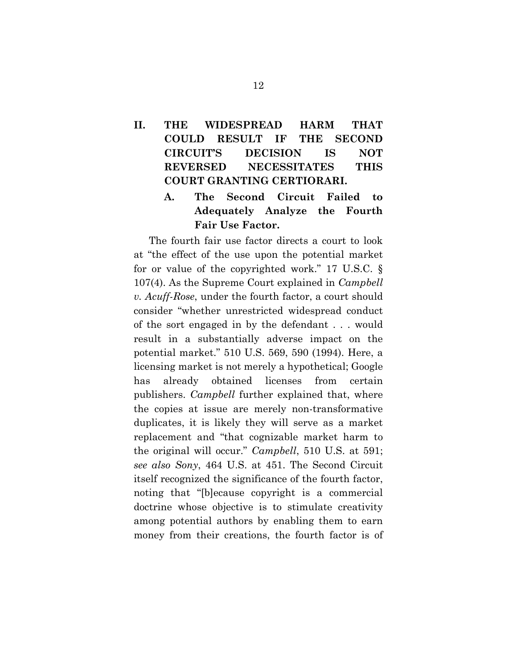# **II. THE WIDESPREAD HARM THAT COULD RESULT IF THE SECOND CIRCUIT'S DECISION IS NOT REVERSED NECESSITATES THIS COURT GRANTING CERTIORARI.**

### **A. The Second Circuit Failed to Adequately Analyze the Fourth Fair Use Factor.**

The fourth fair use factor directs a court to look at "the effect of the use upon the potential market for or value of the copyrighted work." 17 U.S.C. § 107(4). As the Supreme Court explained in *Campbell v. Acuff-Rose*, under the fourth factor, a court should consider "whether unrestricted widespread conduct of the sort engaged in by the defendant . . . would result in a substantially adverse impact on the potential market." 510 U.S. 569, 590 (1994). Here, a licensing market is not merely a hypothetical; Google has already obtained licenses from certain publishers. *Campbell* further explained that, where the copies at issue are merely non-transformative duplicates, it is likely they will serve as a market replacement and "that cognizable market harm to the original will occur." *Campbell*, 510 U.S. at 591; *see also Sony*, 464 U.S. at 451. The Second Circuit itself recognized the significance of the fourth factor, noting that "[b]ecause copyright is a commercial doctrine whose objective is to stimulate creativity among potential authors by enabling them to earn money from their creations, the fourth factor is of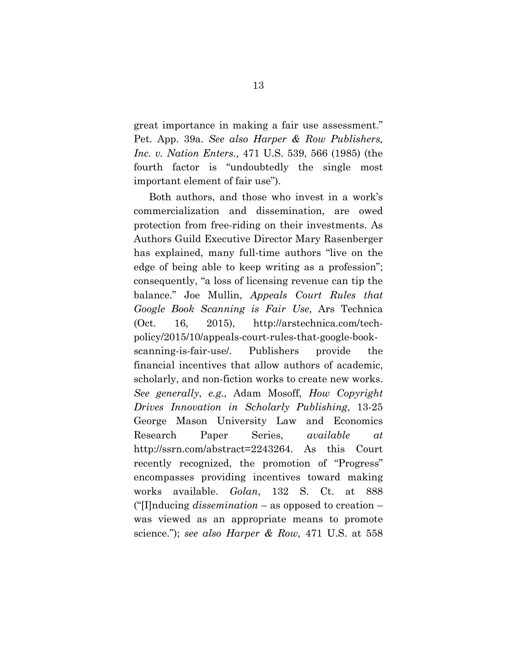great importance in making a fair use assessment." Pet. App. 39a. *See also Harper & Row Publishers, Inc. v. Nation Enters.,* 471 U.S. 539, 566 (1985) (the fourth factor is "undoubtedly the single most important element of fair use").

Both authors, and those who invest in a work's commercialization and dissemination, are owed protection from free-riding on their investments. As Authors Guild Executive Director Mary Rasenberger has explained, many full-time authors "live on the edge of being able to keep writing as a profession"; consequently, "a loss of licensing revenue can tip the balance." Joe Mullin, *Appeals Court Rules that Google Book Scanning is Fair Use*, Ars Technica (Oct. 16, 2015), http://arstechnica.com/techpolicy/2015/10/appeals-court-rules-that-google-bookscanning-is-fair-use/. Publishers provide the financial incentives that allow authors of academic, scholarly, and non-fiction works to create new works. *See generally*, *e.g.*, Adam Mosoff, *How Copyright Drives Innovation in Scholarly Publishing*, 13-25 George Mason University Law and Economics Research Paper Series, *available at* http://ssrn.com/abstract=2243264. As this Court recently recognized, the promotion of "Progress" encompasses providing incentives toward making works available. *Golan*, 132 S. Ct. at 888 ("[I]nducing *dissemination* – as opposed to creation – was viewed as an appropriate means to promote science."); *see also Harper & Row,* 471 U.S. at 558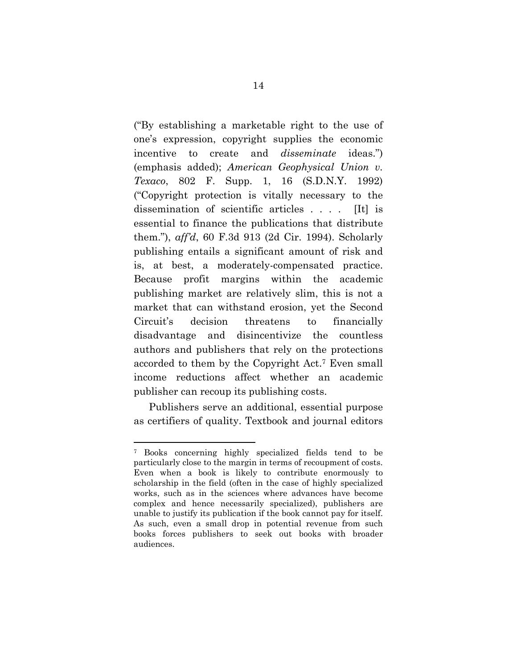("By establishing a marketable right to the use of one's expression, copyright supplies the economic incentive to create and *disseminate* ideas.") (emphasis added); *American Geophysical Union v. Texaco*, 802 F. Supp. 1, 16 (S.D.N.Y. 1992) ("Copyright protection is vitally necessary to the dissemination of scientific articles . . . . [It] is essential to finance the publications that distribute them."), *aff'd*, 60 F.3d 913 (2d Cir. 1994). Scholarly publishing entails a significant amount of risk and is, at best, a moderately-compensated practice. Because profit margins within the academic publishing market are relatively slim, this is not a market that can withstand erosion, yet the Second Circuit's decision threatens to financially disadvantage and disincentivize the countless authors and publishers that rely on the protections accorded to them by the Copyright Act.7 Even small income reductions affect whether an academic publisher can recoup its publishing costs.

Publishers serve an additional, essential purpose as certifiers of quality. Textbook and journal editors

<sup>7</sup> Books concerning highly specialized fields tend to be particularly close to the margin in terms of recoupment of costs. Even when a book is likely to contribute enormously to scholarship in the field (often in the case of highly specialized works, such as in the sciences where advances have become complex and hence necessarily specialized), publishers are unable to justify its publication if the book cannot pay for itself. As such, even a small drop in potential revenue from such books forces publishers to seek out books with broader audiences.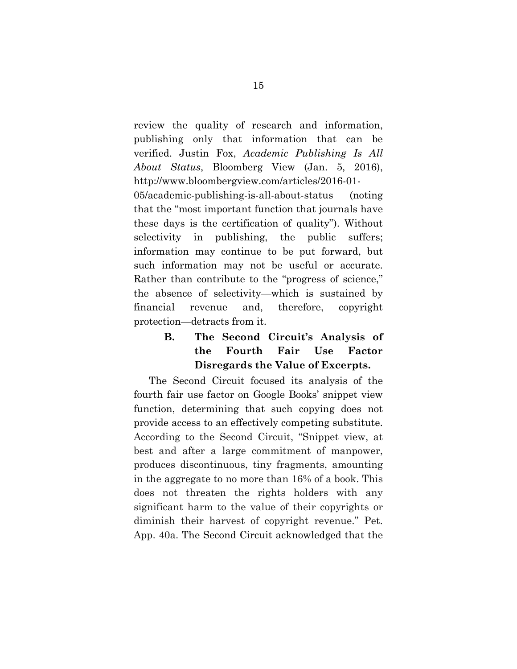review the quality of research and information, publishing only that information that can be verified. Justin Fox, *Academic Publishing Is All About Status*, Bloomberg View (Jan. 5, 2016), http://www.bloombergview.com/articles/2016-01-

05/academic-publishing-is-all-about-status (noting that the "most important function that journals have these days is the certification of quality"). Without selectivity in publishing, the public suffers; information may continue to be put forward, but such information may not be useful or accurate. Rather than contribute to the "progress of science," the absence of selectivity—which is sustained by financial revenue and, therefore, copyright protection—detracts from it.

# **B. The Second Circuit's Analysis of the Fourth Fair Use Factor Disregards the Value of Excerpts.**

The Second Circuit focused its analysis of the fourth fair use factor on Google Books' snippet view function, determining that such copying does not provide access to an effectively competing substitute. According to the Second Circuit, "Snippet view, at best and after a large commitment of manpower, produces discontinuous, tiny fragments, amounting in the aggregate to no more than 16% of a book. This does not threaten the rights holders with any significant harm to the value of their copyrights or diminish their harvest of copyright revenue." Pet. App. 40a. The Second Circuit acknowledged that the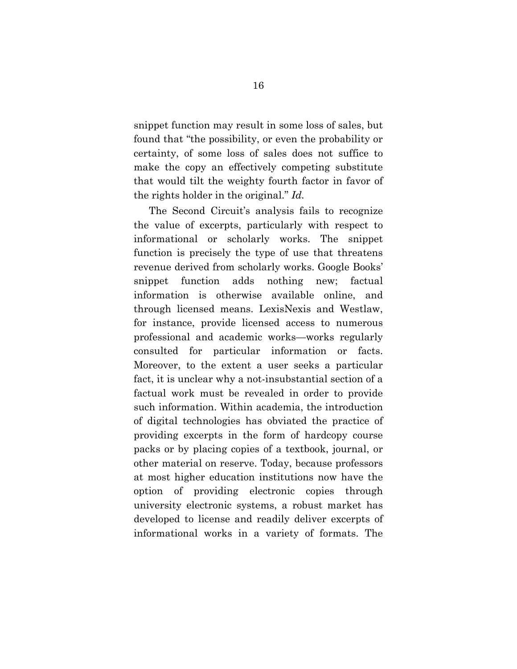snippet function may result in some loss of sales, but found that "the possibility, or even the probability or certainty, of some loss of sales does not suffice to make the copy an effectively competing substitute that would tilt the weighty fourth factor in favor of the rights holder in the original." *Id.* 

The Second Circuit's analysis fails to recognize the value of excerpts, particularly with respect to informational or scholarly works. The snippet function is precisely the type of use that threatens revenue derived from scholarly works. Google Books' snippet function adds nothing new; factual information is otherwise available online, and through licensed means. LexisNexis and Westlaw, for instance, provide licensed access to numerous professional and academic works—works regularly consulted for particular information or facts. Moreover, to the extent a user seeks a particular fact, it is unclear why a not-insubstantial section of a factual work must be revealed in order to provide such information. Within academia, the introduction of digital technologies has obviated the practice of providing excerpts in the form of hardcopy course packs or by placing copies of a textbook, journal, or other material on reserve. Today, because professors at most higher education institutions now have the option of providing electronic copies through university electronic systems, a robust market has developed to license and readily deliver excerpts of informational works in a variety of formats. The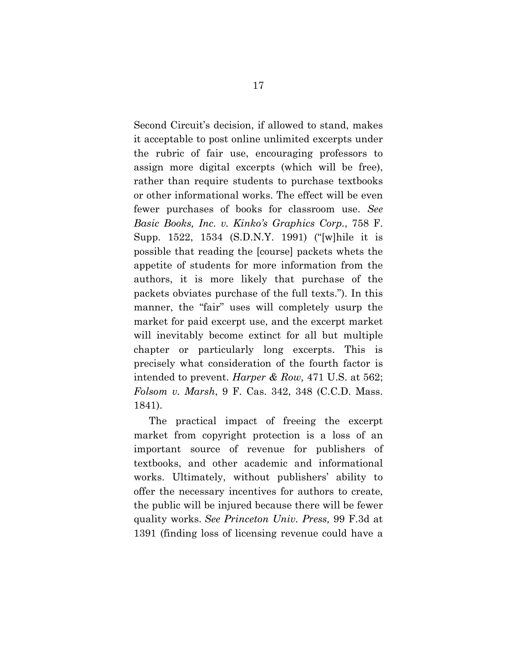Second Circuit's decision, if allowed to stand, makes it acceptable to post online unlimited excerpts under the rubric of fair use, encouraging professors to assign more digital excerpts (which will be free), rather than require students to purchase textbooks or other informational works. The effect will be even fewer purchases of books for classroom use. *See Basic Books, Inc. v. Kinko's Graphics Corp.*, 758 F. Supp. 1522, 1534 (S.D.N.Y. 1991) ("[w]hile it is possible that reading the [course] packets whets the appetite of students for more information from the authors, it is more likely that purchase of the packets obviates purchase of the full texts."). In this manner, the "fair" uses will completely usurp the market for paid excerpt use, and the excerpt market will inevitably become extinct for all but multiple chapter or particularly long excerpts. This is precisely what consideration of the fourth factor is intended to prevent. *Harper & Row,* 471 U.S. at 562; *Folsom v. Marsh*, 9 F. Cas. 342, 348 (C.C.D. Mass. 1841).

The practical impact of freeing the excerpt market from copyright protection is a loss of an important source of revenue for publishers of textbooks, and other academic and informational works. Ultimately, without publishers' ability to offer the necessary incentives for authors to create, the public will be injured because there will be fewer quality works. *See Princeton Univ. Press,* 99 F.3d at 1391 (finding loss of licensing revenue could have a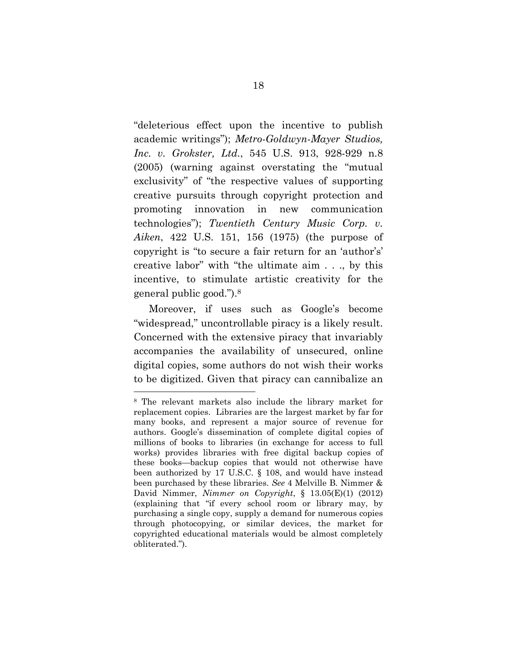"deleterious effect upon the incentive to publish academic writings"); *Metro-Goldwyn-Mayer Studios, Inc. v. Grokster, Ltd.*, 545 U.S. 913, 928-929 n.8 (2005) (warning against overstating the "mutual exclusivity" of "the respective values of supporting creative pursuits through copyright protection and promoting innovation in new communication technologies"); *Twentieth Century Music Corp. v. Aiken*, 422 U.S. 151, 156 (1975) (the purpose of copyright is "to secure a fair return for an 'author's' creative labor" with "the ultimate aim . . ., by this incentive, to stimulate artistic creativity for the general public good.").8

Moreover, if uses such as Google's become "widespread," uncontrollable piracy is a likely result. Concerned with the extensive piracy that invariably accompanies the availability of unsecured, online digital copies, some authors do not wish their works to be digitized. Given that piracy can cannibalize an

<sup>8</sup> The relevant markets also include the library market for replacement copies. Libraries are the largest market by far for many books, and represent a major source of revenue for authors. Google's dissemination of complete digital copies of millions of books to libraries (in exchange for access to full works) provides libraries with free digital backup copies of these books—backup copies that would not otherwise have been authorized by 17 U.S.C. § 108, and would have instead been purchased by these libraries. *See* 4 Melville B. Nimmer & David Nimmer, *Nimmer on Copyright*, § 13.05(E)(1) (2012) (explaining that "if every school room or library may, by purchasing a single copy, supply a demand for numerous copies through photocopying, or similar devices, the market for copyrighted educational materials would be almost completely obliterated.").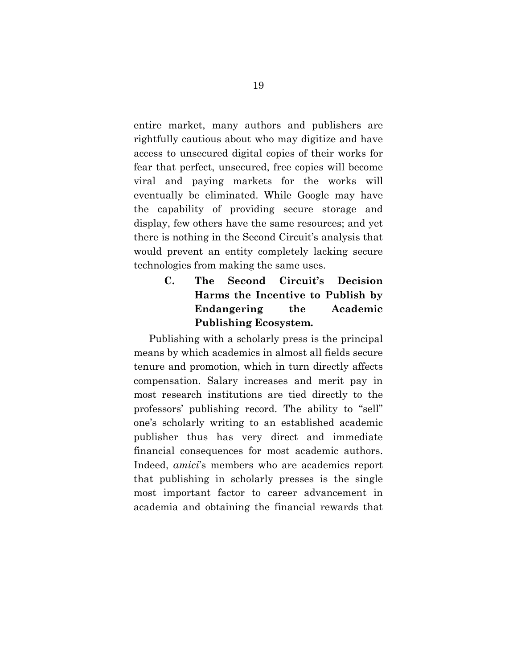entire market, many authors and publishers are rightfully cautious about who may digitize and have access to unsecured digital copies of their works for fear that perfect, unsecured, free copies will become viral and paying markets for the works will eventually be eliminated. While Google may have the capability of providing secure storage and display, few others have the same resources; and yet there is nothing in the Second Circuit's analysis that would prevent an entity completely lacking secure technologies from making the same uses.

> **C. The Second Circuit's Decision Harms the Incentive to Publish by Endangering the Academic Publishing Ecosystem.**

Publishing with a scholarly press is the principal means by which academics in almost all fields secure tenure and promotion, which in turn directly affects compensation. Salary increases and merit pay in most research institutions are tied directly to the professors' publishing record. The ability to "sell" one's scholarly writing to an established academic publisher thus has very direct and immediate financial consequences for most academic authors. Indeed, *amici*'s members who are academics report that publishing in scholarly presses is the single most important factor to career advancement in academia and obtaining the financial rewards that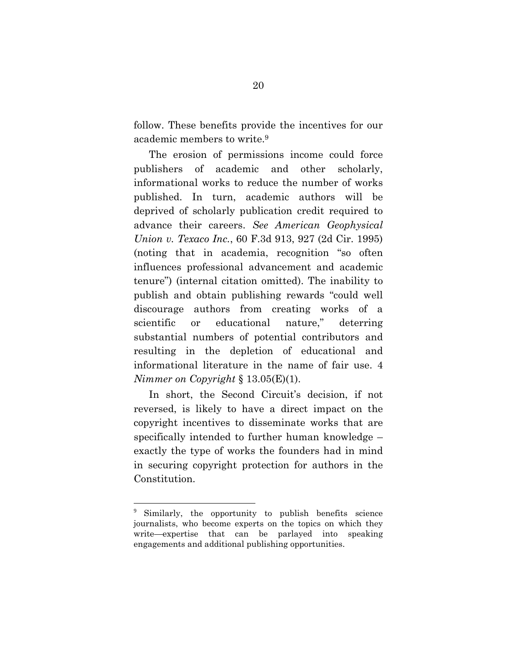follow. These benefits provide the incentives for our academic members to write.9

The erosion of permissions income could force publishers of academic and other scholarly, informational works to reduce the number of works published. In turn, academic authors will be deprived of scholarly publication credit required to advance their careers. *See American Geophysical Union v. Texaco Inc.*, 60 F.3d 913, 927 (2d Cir. 1995) (noting that in academia, recognition "so often influences professional advancement and academic tenure") (internal citation omitted). The inability to publish and obtain publishing rewards "could well discourage authors from creating works of a scientific or educational nature," deterring substantial numbers of potential contributors and resulting in the depletion of educational and informational literature in the name of fair use. 4 *Nimmer on Copyright* § 13.05(E)(1).

In short, the Second Circuit's decision, if not reversed, is likely to have a direct impact on the copyright incentives to disseminate works that are specifically intended to further human knowledge – exactly the type of works the founders had in mind in securing copyright protection for authors in the Constitution.

Similarly, the opportunity to publish benefits science journalists, who become experts on the topics on which they write—expertise that can be parlayed into speaking engagements and additional publishing opportunities.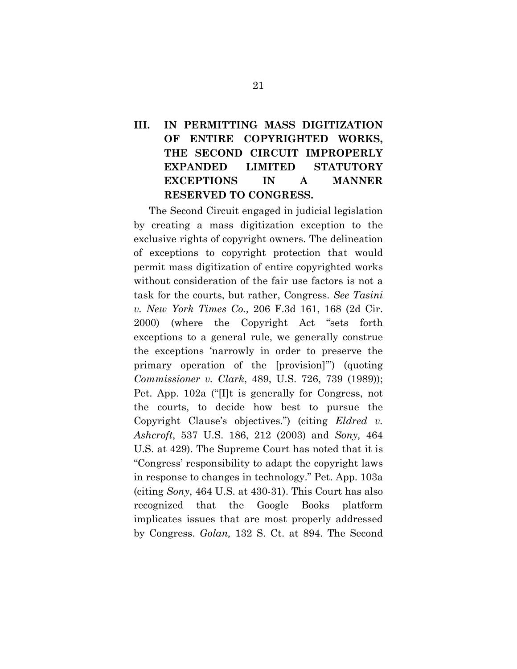# **III. IN PERMITTING MASS DIGITIZATION OF ENTIRE COPYRIGHTED WORKS, THE SECOND CIRCUIT IMPROPERLY EXPANDED LIMITED STATUTORY EXCEPTIONS IN A MANNER RESERVED TO CONGRESS.**

The Second Circuit engaged in judicial legislation by creating a mass digitization exception to the exclusive rights of copyright owners. The delineation of exceptions to copyright protection that would permit mass digitization of entire copyrighted works without consideration of the fair use factors is not a task for the courts, but rather, Congress. *See Tasini v. New York Times Co.,* 206 F.3d 161, 168 (2d Cir. 2000) (where the Copyright Act "sets forth exceptions to a general rule, we generally construe the exceptions 'narrowly in order to preserve the primary operation of the [provision]'") (quoting *Commissioner v. Clark*, 489, U.S. 726, 739 (1989)); Pet. App. 102a ("[I]t is generally for Congress, not the courts, to decide how best to pursue the Copyright Clause's objectives.") (citing *Eldred v. Ashcroft*, 537 U.S. 186, 212 (2003) and *Sony,* 464 U.S. at 429). The Supreme Court has noted that it is "Congress' responsibility to adapt the copyright laws in response to changes in technology." Pet. App. 103a (citing *Sony*, 464 U.S. at 430-31). This Court has also recognized that the Google Books platform implicates issues that are most properly addressed by Congress. *Golan,* 132 S. Ct. at 894. The Second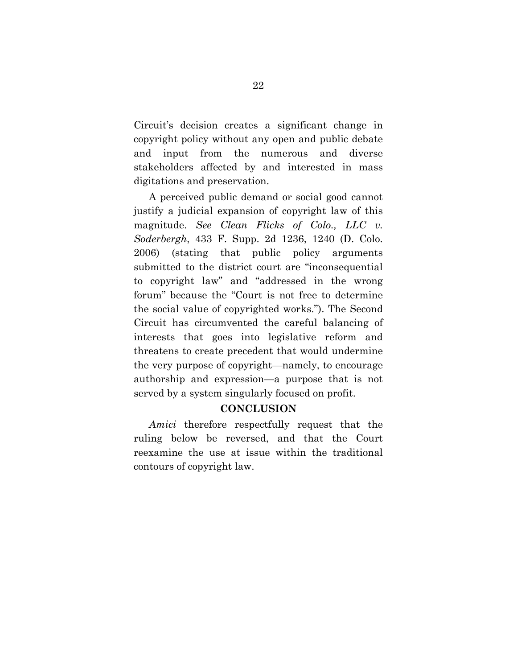Circuit's decision creates a significant change in copyright policy without any open and public debate and input from the numerous and diverse stakeholders affected by and interested in mass digitations and preservation.

A perceived public demand or social good cannot justify a judicial expansion of copyright law of this magnitude. *See Clean Flicks of Colo., LLC v. Soderbergh*, 433 F. Supp. 2d 1236, 1240 (D. Colo. 2006) (stating that public policy arguments submitted to the district court are "inconsequential to copyright law" and "addressed in the wrong forum" because the "Court is not free to determine the social value of copyrighted works."). The Second Circuit has circumvented the careful balancing of interests that goes into legislative reform and threatens to create precedent that would undermine the very purpose of copyright—namely, to encourage authorship and expression—a purpose that is not served by a system singularly focused on profit.

### **CONCLUSION**

*Amici* therefore respectfully request that the ruling below be reversed, and that the Court reexamine the use at issue within the traditional contours of copyright law.